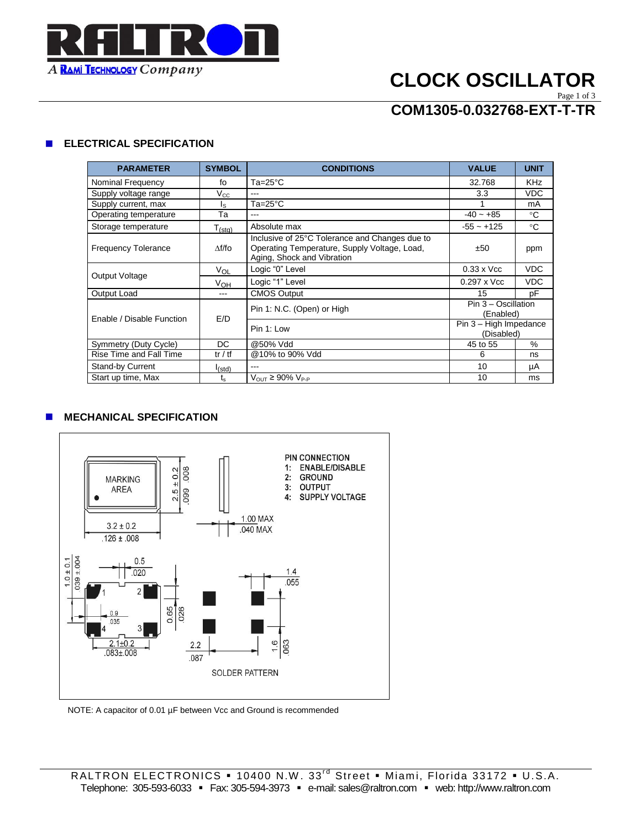

**CLOCK OSCILLATOR** Page 1 of 3

**COM1305-0.032768-EXT-T-TR**

### **ELECTRICAL SPECIFICATION**

| <b>PARAMETER</b>               | <b>SYMBOL</b>      | <b>CONDITIONS</b>                                                                                                            | <b>VALUE</b>                         | <b>UNIT</b> |
|--------------------------------|--------------------|------------------------------------------------------------------------------------------------------------------------------|--------------------------------------|-------------|
| Nominal Frequency              | fo                 | $Ta=25^{\circ}C$                                                                                                             | 32.768                               | <b>KHz</b>  |
| Supply voltage range           | $\rm V_{CC}$       | $---$                                                                                                                        | 3.3                                  | <b>VDC</b>  |
| Supply current, max            | Is                 | $Ta=25^{\circ}C$                                                                                                             |                                      | mA          |
| Operating temperature          | Тa                 | $- - -$                                                                                                                      | $-40 - +85$                          | °C          |
| Storage temperature            | T <sub>(std)</sub> | Absolute max                                                                                                                 | $-55 - +125$                         | °C          |
| <b>Frequency Tolerance</b>     | ∆f/fo              | Inclusive of 25°C Tolerance and Changes due to<br>Operating Temperature, Supply Voltage, Load,<br>Aging, Shock and Vibration | ±50                                  | ppm         |
|                                | $V_{OL}$           | Logic "0" Level                                                                                                              | $0.33 \times$ Vcc                    | <b>VDC</b>  |
| Output Voltage                 | V <sub>OH</sub>    | Logic "1" Level                                                                                                              | 0.297 x Vcc                          | <b>VDC</b>  |
| Output Load                    |                    | <b>CMOS Output</b>                                                                                                           | 15                                   | pF          |
| Enable / Disable Function      | E/D                | Pin 1: N.C. (Open) or High                                                                                                   | Pin 3 - Oscillation<br>(Enabled)     |             |
|                                |                    | Pin 1: Low                                                                                                                   | Pin 3 - High Impedance<br>(Disabled) |             |
| Symmetry (Duty Cycle)          | DC.                | @50% Vdd                                                                                                                     | 45 to 55                             | $\%$        |
| <b>Rise Time and Fall Time</b> | tr / tf            | @10% to 90% Vdd                                                                                                              | 6                                    | ns          |
| <b>Stand-by Current</b>        | I <sub>(std)</sub> | $- - -$                                                                                                                      | 10                                   | μA          |
| Start up time, Max             | $t_{\rm s}$        | $V_{OUT} \ge 90\% V_{P-P}$                                                                                                   | 10                                   | ms          |

### **MECHANICAL SPECIFICATION**



NOTE: A capacitor of 0.01 µF between Vcc and Ground is recommended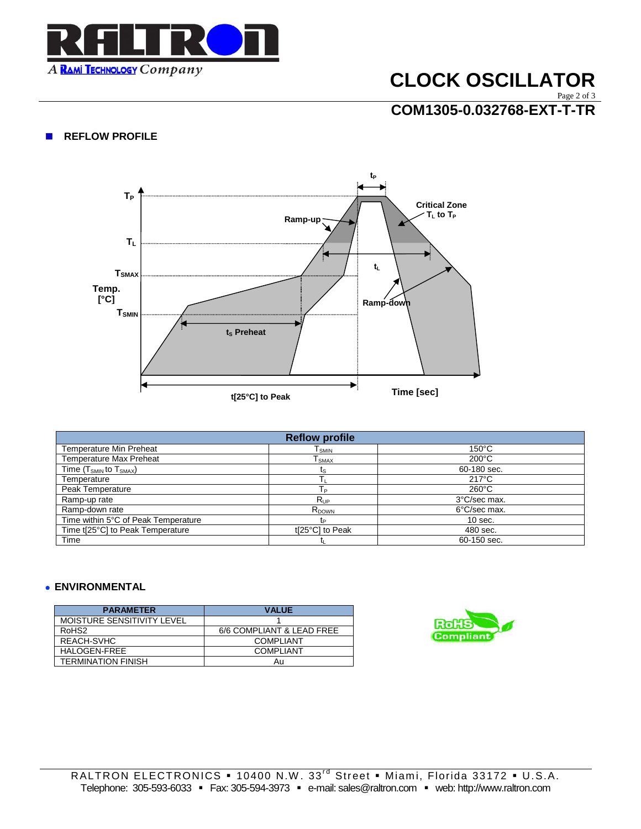

## **CLOCK OSCILLATOR** Page 2 of 3

# **COM1305-0.032768-EXT-T-TR**

### **REFLOW PROFILE**



| <b>Reflow profile</b>               |                   |                 |
|-------------------------------------|-------------------|-----------------|
| <b>Temperature Min Preheat</b>      | l <sub>SMIN</sub> | $150^{\circ}$ C |
| <b>Temperature Max Preheat</b>      | I SMAX            | $200^{\circ}$ C |
| Time $(T_{SMIN}$ to $T_{SMAX}$ )    | τs                | 60-180 sec.     |
| Temperature                         |                   | $217^{\circ}$ C |
| Peak Temperature                    | D                 | $260^{\circ}$ C |
| Ramp-up rate                        | $R_{UP}$          | 3°C/sec max.    |
| Ramp-down rate                      | $R_{DOWN}$        | 6°C/sec max.    |
| Time within 5°C of Peak Temperature | Ţь                | $10$ sec.       |
| Time t[25°C] to Peak Temperature    | t[25°C] to Peak   | 480 sec.        |
| Time                                |                   | 60-150 sec.     |

#### **ENVIRONMENTAL**

| <b>PARAMETER</b>           | <b>VALUE</b>              |
|----------------------------|---------------------------|
| MOISTURE SENSITIVITY LEVEL |                           |
| RoHS <sub>2</sub>          | 6/6 COMPLIANT & LEAD FREE |
| REACH-SVHC                 | <b>COMPLIANT</b>          |
| HALOGEN-FREE               | <b>COMPLIANT</b>          |
| <b>TERMINATION FINISH</b>  | Au                        |